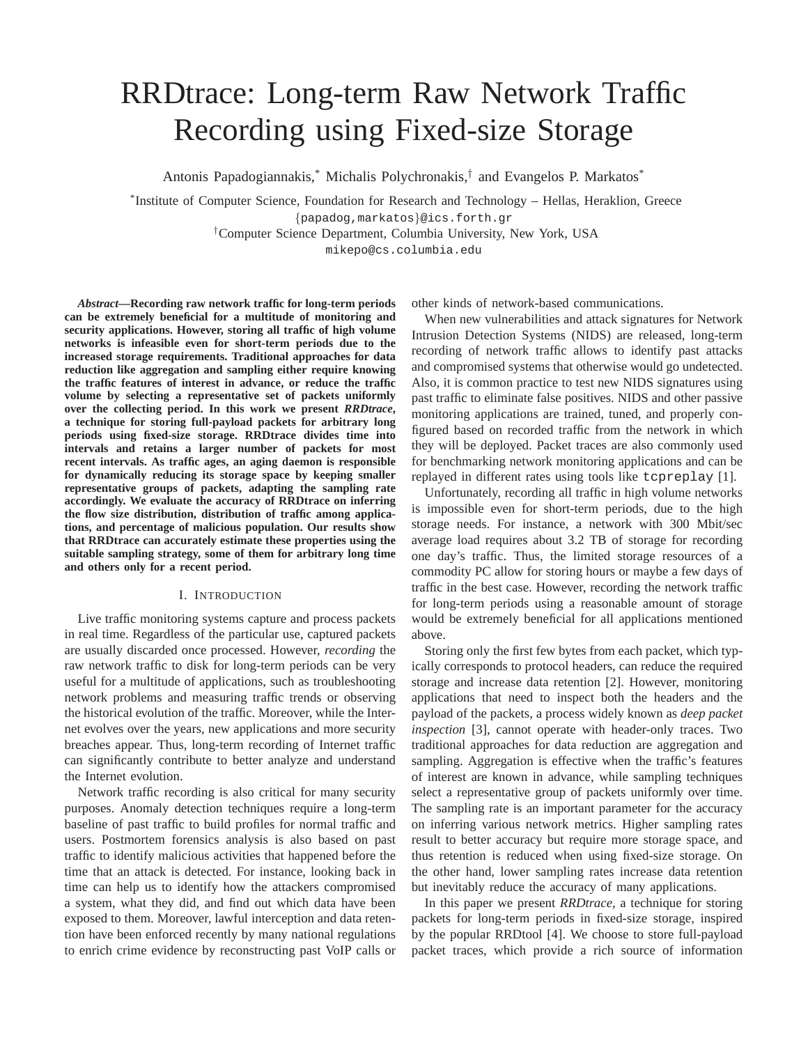# RRDtrace: Long-term Raw Network Traffic Recording using Fixed-size Storage

Antonis Papadogiannakis,\* Michalis Polychronakis,† and Evangelos P. Markatos\*

\* Institute of Computer Science, Foundation for Research and Technology – Hellas, Heraklion, Greece {papadog,markatos}@ics.forth.gr †Computer Science Department, Columbia University, New York, USA

mikepo@cs.columbia.edu

*Abstract***—Recording raw network traffic for long-term periods can be extremely beneficial for a multitude of monitoring and security applications. However, storing all traffic of high volume networks is infeasible even for short-term periods due to the increased storage requirements. Traditional approaches for data reduction like aggregation and sampling either require knowing the traffic features of interest in advance, or reduce the traffic volume by selecting a representative set of packets uniformly over the collecting period. In this work we present** *RRDtrace***, a technique for storing full-payload packets for arbitrary long periods using fixed-size storage. RRDtrace divides time into intervals and retains a larger number of packets for most recent intervals. As traffic ages, an aging daemon is responsible for dynamically reducing its storage space by keeping smaller representative groups of packets, adapting the sampling rate accordingly. We evaluate the accuracy of RRDtrace on inferring the flow size distribution, distribution of traffic among applications, and percentage of malicious population. Our results show that RRDtrace can accurately estimate these properties using the suitable sampling strategy, some of them for arbitrary long time and others only for a recent period.**

# I. INTRODUCTION

Live traffic monitoring systems capture and process packets in real time. Regardless of the particular use, captured packets are usually discarded once processed. However, *recording* the raw network traffic to disk for long-term periods can be very useful for a multitude of applications, such as troubleshooting network problems and measuring traffic trends or observing the historical evolution of the traffic. Moreover, while the Internet evolves over the years, new applications and more security breaches appear. Thus, long-term recording of Internet traffic can significantly contribute to better analyze and understand the Internet evolution.

Network traffic recording is also critical for many security purposes. Anomaly detection techniques require a long-term baseline of past traffic to build profiles for normal traffic and users. Postmortem forensics analysis is also based on past traffic to identify malicious activities that happened before the time that an attack is detected. For instance, looking back in time can help us to identify how the attackers compromised a system, what they did, and find out which data have been exposed to them. Moreover, lawful interception and data retention have been enforced recently by many national regulations to enrich crime evidence by reconstructing past VoIP calls or

other kinds of network-based communications.

When new vulnerabilities and attack signatures for Network Intrusion Detection Systems (NIDS) are released, long-term recording of network traffic allows to identify past attacks and compromised systems that otherwise would go undetected. Also, it is common practice to test new NIDS signatures using past traffic to eliminate false positives. NIDS and other passive monitoring applications are trained, tuned, and properly configured based on recorded traffic from the network in which they will be deployed. Packet traces are also commonly used for benchmarking network monitoring applications and can be replayed in different rates using tools like tcpreplay [1].

Unfortunately, recording all traffic in high volume networks is impossible even for short-term periods, due to the high storage needs. For instance, a network with 300 Mbit/sec average load requires about 3.2 TB of storage for recording one day's traffic. Thus, the limited storage resources of a commodity PC allow for storing hours or maybe a few days of traffic in the best case. However, recording the network traffic for long-term periods using a reasonable amount of storage would be extremely beneficial for all applications mentioned above.

Storing only the first few bytes from each packet, which typically corresponds to protocol headers, can reduce the required storage and increase data retention [2]. However, monitoring applications that need to inspect both the headers and the payload of the packets, a process widely known as *deep packet inspection* [3], cannot operate with header-only traces. Two traditional approaches for data reduction are aggregation and sampling. Aggregation is effective when the traffic's features of interest are known in advance, while sampling techniques select a representative group of packets uniformly over time. The sampling rate is an important parameter for the accuracy on inferring various network metrics. Higher sampling rates result to better accuracy but require more storage space, and thus retention is reduced when using fixed-size storage. On the other hand, lower sampling rates increase data retention but inevitably reduce the accuracy of many applications.

In this paper we present *RRDtrace*, a technique for storing packets for long-term periods in fixed-size storage, inspired by the popular RRDtool [4]. We choose to store full-payload packet traces, which provide a rich source of information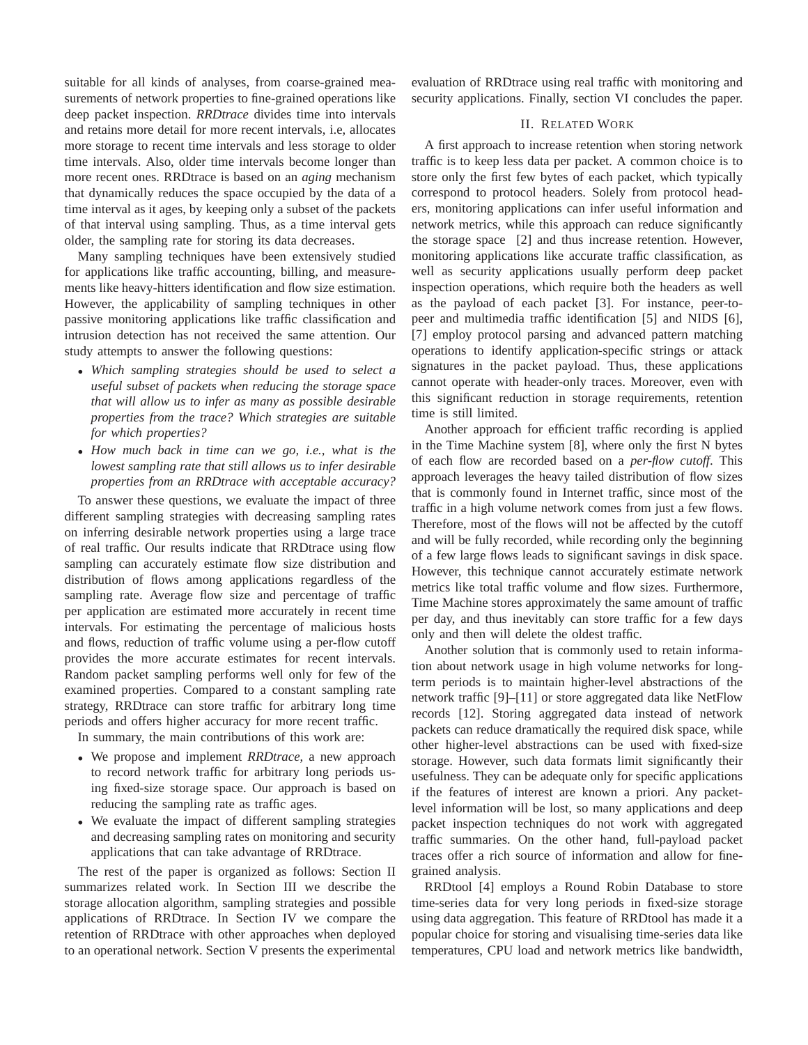suitable for all kinds of analyses, from coarse-grained measurements of network properties to fine-grained operations like deep packet inspection. *RRDtrace* divides time into intervals and retains more detail for more recent intervals, i.e, allocates more storage to recent time intervals and less storage to older time intervals. Also, older time intervals become longer than more recent ones. RRDtrace is based on an *aging* mechanism that dynamically reduces the space occupied by the data of a time interval as it ages, by keeping only a subset of the packets of that interval using sampling. Thus, as a time interval gets older, the sampling rate for storing its data decreases.

Many sampling techniques have been extensively studied for applications like traffic accounting, billing, and measurements like heavy-hitters identification and flow size estimation. However, the applicability of sampling techniques in other passive monitoring applications like traffic classification and intrusion detection has not received the same attention. Our study attempts to answer the following questions:

- *Which sampling strategies should be used to select a useful subset of packets when reducing the storage space that will allow us to infer as many as possible desirable properties from the trace? Which strategies are suitable for which properties?*
- *How much back in time can we go, i.e., what is the lowest sampling rate that still allows us to infer desirable properties from an RRDtrace with acceptable accuracy?*

To answer these questions, we evaluate the impact of three different sampling strategies with decreasing sampling rates on inferring desirable network properties using a large trace of real traffic. Our results indicate that RRDtrace using flow sampling can accurately estimate flow size distribution and distribution of flows among applications regardless of the sampling rate. Average flow size and percentage of traffic per application are estimated more accurately in recent time intervals. For estimating the percentage of malicious hosts and flows, reduction of traffic volume using a per-flow cutoff provides the more accurate estimates for recent intervals. Random packet sampling performs well only for few of the examined properties. Compared to a constant sampling rate strategy, RRDtrace can store traffic for arbitrary long time periods and offers higher accuracy for more recent traffic.

In summary, the main contributions of this work are:

- We propose and implement *RRDtrace*, a new approach to record network traffic for arbitrary long periods using fixed-size storage space. Our approach is based on reducing the sampling rate as traffic ages.
- We evaluate the impact of different sampling strategies and decreasing sampling rates on monitoring and security applications that can take advantage of RRDtrace.

The rest of the paper is organized as follows: Section II summarizes related work. In Section III we describe the storage allocation algorithm, sampling strategies and possible applications of RRDtrace. In Section IV we compare the retention of RRDtrace with other approaches when deployed to an operational network. Section V presents the experimental

evaluation of RRDtrace using real traffic with monitoring and security applications. Finally, section VI concludes the paper.

# II. RELATED WORK

A first approach to increase retention when storing network traffic is to keep less data per packet. A common choice is to store only the first few bytes of each packet, which typically correspond to protocol headers. Solely from protocol headers, monitoring applications can infer useful information and network metrics, while this approach can reduce significantly the storage space [2] and thus increase retention. However, monitoring applications like accurate traffic classification, as well as security applications usually perform deep packet inspection operations, which require both the headers as well as the payload of each packet [3]. For instance, peer-topeer and multimedia traffic identification [5] and NIDS [6], [7] employ protocol parsing and advanced pattern matching operations to identify application-specific strings or attack signatures in the packet payload. Thus, these applications cannot operate with header-only traces. Moreover, even with this significant reduction in storage requirements, retention time is still limited.

Another approach for efficient traffic recording is applied in the Time Machine system [8], where only the first N bytes of each flow are recorded based on a *per-flow cutoff*. This approach leverages the heavy tailed distribution of flow sizes that is commonly found in Internet traffic, since most of the traffic in a high volume network comes from just a few flows. Therefore, most of the flows will not be affected by the cutoff and will be fully recorded, while recording only the beginning of a few large flows leads to significant savings in disk space. However, this technique cannot accurately estimate network metrics like total traffic volume and flow sizes. Furthermore, Time Machine stores approximately the same amount of traffic per day, and thus inevitably can store traffic for a few days only and then will delete the oldest traffic.

Another solution that is commonly used to retain information about network usage in high volume networks for longterm periods is to maintain higher-level abstractions of the network traffic [9]–[11] or store aggregated data like NetFlow records [12]. Storing aggregated data instead of network packets can reduce dramatically the required disk space, while other higher-level abstractions can be used with fixed-size storage. However, such data formats limit significantly their usefulness. They can be adequate only for specific applications if the features of interest are known a priori. Any packetlevel information will be lost, so many applications and deep packet inspection techniques do not work with aggregated traffic summaries. On the other hand, full-payload packet traces offer a rich source of information and allow for finegrained analysis.

RRDtool [4] employs a Round Robin Database to store time-series data for very long periods in fixed-size storage using data aggregation. This feature of RRDtool has made it a popular choice for storing and visualising time-series data like temperatures, CPU load and network metrics like bandwidth,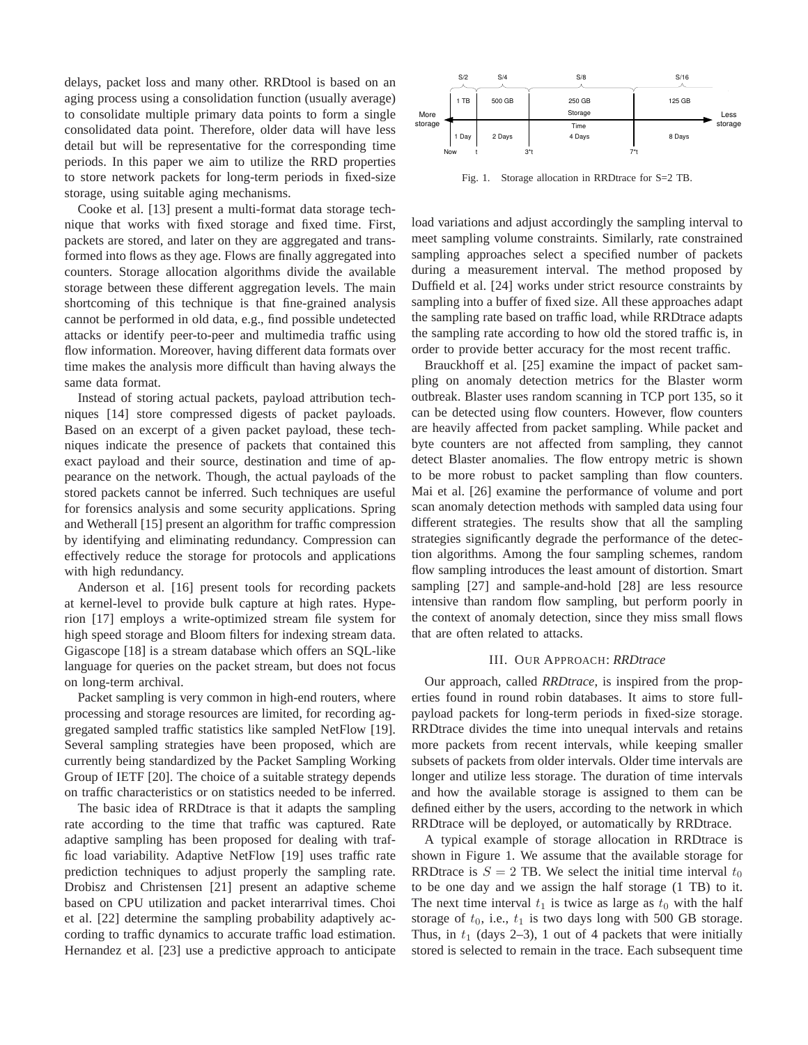delays, packet loss and many other. RRDtool is based on an aging process using a consolidation function (usually average) to consolidate multiple primary data points to form a single consolidated data point. Therefore, older data will have less detail but will be representative for the corresponding time periods. In this paper we aim to utilize the RRD properties to store network packets for long-term periods in fixed-size storage, using suitable aging mechanisms.

Cooke et al. [13] present a multi-format data storage technique that works with fixed storage and fixed time. First, packets are stored, and later on they are aggregated and transformed into flows as they age. Flows are finally aggregated into counters. Storage allocation algorithms divide the available storage between these different aggregation levels. The main shortcoming of this technique is that fine-grained analysis cannot be performed in old data, e.g., find possible undetected attacks or identify peer-to-peer and multimedia traffic using flow information. Moreover, having different data formats over time makes the analysis more difficult than having always the same data format.

Instead of storing actual packets, payload attribution techniques [14] store compressed digests of packet payloads. Based on an excerpt of a given packet payload, these techniques indicate the presence of packets that contained this exact payload and their source, destination and time of appearance on the network. Though, the actual payloads of the stored packets cannot be inferred. Such techniques are useful for forensics analysis and some security applications. Spring and Wetherall [15] present an algorithm for traffic compression by identifying and eliminating redundancy. Compression can effectively reduce the storage for protocols and applications with high redundancy.

Anderson et al. [16] present tools for recording packets at kernel-level to provide bulk capture at high rates. Hyperion [17] employs a write-optimized stream file system for high speed storage and Bloom filters for indexing stream data. Gigascope [18] is a stream database which offers an SQL-like language for queries on the packet stream, but does not focus on long-term archival.

Packet sampling is very common in high-end routers, where processing and storage resources are limited, for recording aggregated sampled traffic statistics like sampled NetFlow [19]. Several sampling strategies have been proposed, which are currently being standardized by the Packet Sampling Working Group of IETF [20]. The choice of a suitable strategy depends on traffic characteristics or on statistics needed to be inferred.

The basic idea of RRDtrace is that it adapts the sampling rate according to the time that traffic was captured. Rate adaptive sampling has been proposed for dealing with traffic load variability. Adaptive NetFlow [19] uses traffic rate prediction techniques to adjust properly the sampling rate. Drobisz and Christensen [21] present an adaptive scheme based on CPU utilization and packet interarrival times. Choi et al. [22] determine the sampling probability adaptively according to traffic dynamics to accurate traffic load estimation. Hernandez et al. [23] use a predictive approach to anticipate



Fig. 1. Storage allocation in RRDtrace for S=2 TB.

load variations and adjust accordingly the sampling interval to meet sampling volume constraints. Similarly, rate constrained sampling approaches select a specified number of packets during a measurement interval. The method proposed by Duffield et al. [24] works under strict resource constraints by sampling into a buffer of fixed size. All these approaches adapt the sampling rate based on traffic load, while RRDtrace adapts the sampling rate according to how old the stored traffic is, in order to provide better accuracy for the most recent traffic.

Brauckhoff et al. [25] examine the impact of packet sampling on anomaly detection metrics for the Blaster worm outbreak. Blaster uses random scanning in TCP port 135, so it can be detected using flow counters. However, flow counters are heavily affected from packet sampling. While packet and byte counters are not affected from sampling, they cannot detect Blaster anomalies. The flow entropy metric is shown to be more robust to packet sampling than flow counters. Mai et al. [26] examine the performance of volume and port scan anomaly detection methods with sampled data using four different strategies. The results show that all the sampling strategies significantly degrade the performance of the detection algorithms. Among the four sampling schemes, random flow sampling introduces the least amount of distortion. Smart sampling [27] and sample-and-hold [28] are less resource intensive than random flow sampling, but perform poorly in the context of anomaly detection, since they miss small flows that are often related to attacks.

# III. OUR APPROACH: *RRDtrace*

Our approach, called *RRDtrace*, is inspired from the properties found in round robin databases. It aims to store fullpayload packets for long-term periods in fixed-size storage. RRDtrace divides the time into unequal intervals and retains more packets from recent intervals, while keeping smaller subsets of packets from older intervals. Older time intervals are longer and utilize less storage. The duration of time intervals and how the available storage is assigned to them can be defined either by the users, according to the network in which RRDtrace will be deployed, or automatically by RRDtrace.

A typical example of storage allocation in RRDtrace is shown in Figure 1. We assume that the available storage for RRDtrace is  $S = 2$  TB. We select the initial time interval  $t_0$ to be one day and we assign the half storage (1 TB) to it. The next time interval  $t_1$  is twice as large as  $t_0$  with the half storage of  $t_0$ , i.e.,  $t_1$  is two days long with 500 GB storage. Thus, in  $t_1$  (days 2–3), 1 out of 4 packets that were initially stored is selected to remain in the trace. Each subsequent time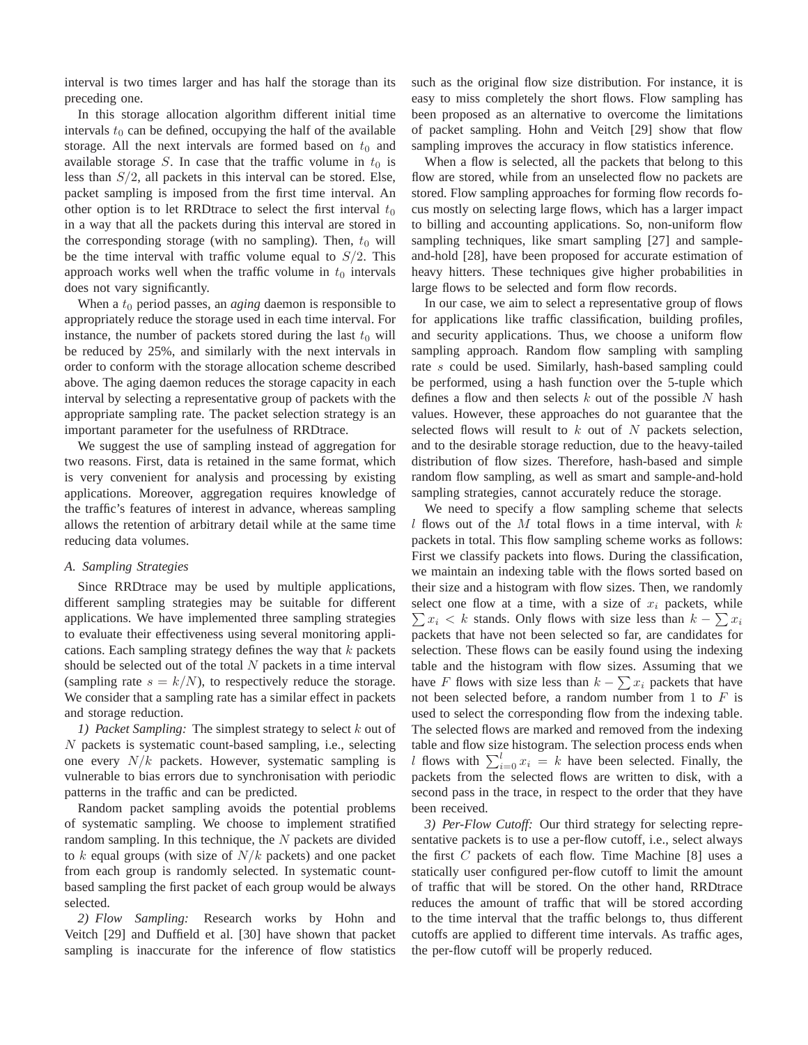interval is two times larger and has half the storage than its preceding one.

In this storage allocation algorithm different initial time intervals  $t_0$  can be defined, occupying the half of the available storage. All the next intervals are formed based on  $t_0$  and available storage S. In case that the traffic volume in  $t_0$  is less than  $S/2$ , all packets in this interval can be stored. Else, packet sampling is imposed from the first time interval. An other option is to let RRDtrace to select the first interval  $t_0$ in a way that all the packets during this interval are stored in the corresponding storage (with no sampling). Then,  $t_0$  will be the time interval with traffic volume equal to  $S/2$ . This approach works well when the traffic volume in  $t_0$  intervals does not vary significantly.

When a  $t_0$  period passes, an *aging* daemon is responsible to appropriately reduce the storage used in each time interval. For instance, the number of packets stored during the last  $t_0$  will be reduced by 25%, and similarly with the next intervals in order to conform with the storage allocation scheme described above. The aging daemon reduces the storage capacity in each interval by selecting a representative group of packets with the appropriate sampling rate. The packet selection strategy is an important parameter for the usefulness of RRDtrace.

We suggest the use of sampling instead of aggregation for two reasons. First, data is retained in the same format, which is very convenient for analysis and processing by existing applications. Moreover, aggregation requires knowledge of the traffic's features of interest in advance, whereas sampling allows the retention of arbitrary detail while at the same time reducing data volumes.

# *A. Sampling Strategies*

Since RRDtrace may be used by multiple applications, different sampling strategies may be suitable for different applications. We have implemented three sampling strategies to evaluate their effectiveness using several monitoring applications. Each sampling strategy defines the way that  $k$  packets should be selected out of the total  $N$  packets in a time interval (sampling rate  $s = k/N$ ), to respectively reduce the storage. We consider that a sampling rate has a similar effect in packets and storage reduction.

*1) Packet Sampling:* The simplest strategy to select k out of N packets is systematic count-based sampling, i.e., selecting one every  $N/k$  packets. However, systematic sampling is vulnerable to bias errors due to synchronisation with periodic patterns in the traffic and can be predicted.

Random packet sampling avoids the potential problems of systematic sampling. We choose to implement stratified random sampling. In this technique, the  $N$  packets are divided to  $k$  equal groups (with size of  $N/k$  packets) and one packet from each group is randomly selected. In systematic countbased sampling the first packet of each group would be always selected.

*2) Flow Sampling:* Research works by Hohn and Veitch [29] and Duffield et al. [30] have shown that packet sampling is inaccurate for the inference of flow statistics such as the original flow size distribution. For instance, it is easy to miss completely the short flows. Flow sampling has been proposed as an alternative to overcome the limitations of packet sampling. Hohn and Veitch [29] show that flow sampling improves the accuracy in flow statistics inference.

When a flow is selected, all the packets that belong to this flow are stored, while from an unselected flow no packets are stored. Flow sampling approaches for forming flow records focus mostly on selecting large flows, which has a larger impact to billing and accounting applications. So, non-uniform flow sampling techniques, like smart sampling [27] and sampleand-hold [28], have been proposed for accurate estimation of heavy hitters. These techniques give higher probabilities in large flows to be selected and form flow records.

In our case, we aim to select a representative group of flows for applications like traffic classification, building profiles, and security applications. Thus, we choose a uniform flow sampling approach. Random flow sampling with sampling rate s could be used. Similarly, hash-based sampling could be performed, using a hash function over the 5-tuple which defines a flow and then selects  $k$  out of the possible  $N$  hash values. However, these approaches do not guarantee that the selected flows will result to  $k$  out of  $N$  packets selection, and to the desirable storage reduction, due to the heavy-tailed distribution of flow sizes. Therefore, hash-based and simple random flow sampling, as well as smart and sample-and-hold sampling strategies, cannot accurately reduce the storage.

We need to specify a flow sampling scheme that selects l flows out of the M total flows in a time interval, with  $k$ packets in total. This flow sampling scheme works as follows: First we classify packets into flows. During the classification, we maintain an indexing table with the flows sorted based on their size and a histogram with flow sizes. Then, we randomly  $\sum x_i < k$  stands. Only flows with size less than  $k - \sum x_i$ select one flow at a time, with a size of  $x_i$  packets, while packets that have not been selected so far, are candidates for selection. These flows can be easily found using the indexing table and the histogram with flow sizes. Assuming that we have F flows with size less than  $k - \sum x_i$  packets that have not been selected before, a random number from 1 to  $F$  is used to select the corresponding flow from the indexing table. The selected flows are marked and removed from the indexing table and flow size histogram. The selection process ends when *l* flows with  $\sum_{i=0}^{l} x_i = k$  have been selected. Finally, the packets from the selected flows are written to disk, with a second pass in the trace, in respect to the order that they have been received.

*3) Per-Flow Cutoff:* Our third strategy for selecting representative packets is to use a per-flow cutoff, i.e., select always the first C packets of each flow. Time Machine [8] uses a statically user configured per-flow cutoff to limit the amount of traffic that will be stored. On the other hand, RRDtrace reduces the amount of traffic that will be stored according to the time interval that the traffic belongs to, thus different cutoffs are applied to different time intervals. As traffic ages, the per-flow cutoff will be properly reduced.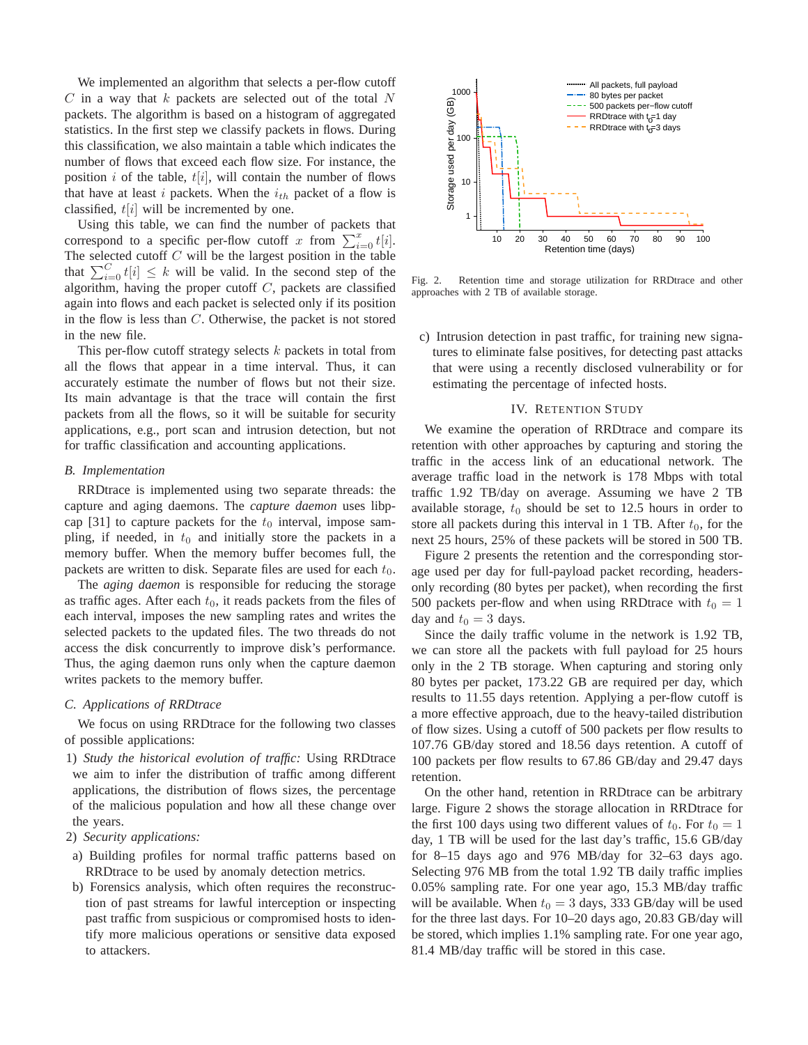We implemented an algorithm that selects a per-flow cutoff  $C$  in a way that  $k$  packets are selected out of the total  $N$ packets. The algorithm is based on a histogram of aggregated statistics. In the first step we classify packets in flows. During this classification, we also maintain a table which indicates the number of flows that exceed each flow size. For instance, the position i of the table,  $t[i]$ , will contain the number of flows that have at least i packets. When the  $i_{th}$  packet of a flow is classified,  $t[i]$  will be incremented by one.

Using this table, we can find the number of packets that correspond to a specific per-flow cutoff x from  $\sum_{i=0}^{x} t[i]$ . The selected cutoff  $C$  will be the largest position in the table that  $\sum_{i=0}^{C} t[i] \leq k$  will be valid. In the second step of the algorithm, having the proper cutoff  $C$ , packets are classified again into flows and each packet is selected only if its position in the flow is less than C. Otherwise, the packet is not stored in the new file.

This per-flow cutoff strategy selects  $k$  packets in total from all the flows that appear in a time interval. Thus, it can accurately estimate the number of flows but not their size. Its main advantage is that the trace will contain the first packets from all the flows, so it will be suitable for security applications, e.g., port scan and intrusion detection, but not for traffic classification and accounting applications.

## *B. Implementation*

RRDtrace is implemented using two separate threads: the capture and aging daemons. The *capture daemon* uses libpcap [31] to capture packets for the  $t_0$  interval, impose sampling, if needed, in  $t_0$  and initially store the packets in a memory buffer. When the memory buffer becomes full, the packets are written to disk. Separate files are used for each  $t_0$ .

The *aging daemon* is responsible for reducing the storage as traffic ages. After each  $t_0$ , it reads packets from the files of each interval, imposes the new sampling rates and writes the selected packets to the updated files. The two threads do not access the disk concurrently to improve disk's performance. Thus, the aging daemon runs only when the capture daemon writes packets to the memory buffer.

# *C. Applications of RRDtrace*

We focus on using RRDtrace for the following two classes of possible applications:

1) *Study the historical evolution of traffic:* Using RRDtrace we aim to infer the distribution of traffic among different applications, the distribution of flows sizes, the percentage of the malicious population and how all these change over the years.

## 2) *Security applications:*

- a) Building profiles for normal traffic patterns based on RRDtrace to be used by anomaly detection metrics.
- b) Forensics analysis, which often requires the reconstruction of past streams for lawful interception or inspecting past traffic from suspicious or compromised hosts to identify more malicious operations or sensitive data exposed to attackers.



Fig. 2. Retention time and storage utilization for RRDtrace and other approaches with 2 TB of available storage.

c) Intrusion detection in past traffic, for training new signatures to eliminate false positives, for detecting past attacks that were using a recently disclosed vulnerability or for estimating the percentage of infected hosts.

#### IV. RETENTION STUDY

We examine the operation of RRDtrace and compare its retention with other approaches by capturing and storing the traffic in the access link of an educational network. The average traffic load in the network is 178 Mbps with total traffic 1.92 TB/day on average. Assuming we have 2 TB available storage,  $t_0$  should be set to 12.5 hours in order to store all packets during this interval in 1 TB. After  $t_0$ , for the next 25 hours, 25% of these packets will be stored in 500 TB.

Figure 2 presents the retention and the corresponding storage used per day for full-payload packet recording, headersonly recording (80 bytes per packet), when recording the first 500 packets per-flow and when using RRDtrace with  $t_0 = 1$ day and  $t_0 = 3$  days.

Since the daily traffic volume in the network is 1.92 TB, we can store all the packets with full payload for 25 hours only in the 2 TB storage. When capturing and storing only 80 bytes per packet, 173.22 GB are required per day, which results to 11.55 days retention. Applying a per-flow cutoff is a more effective approach, due to the heavy-tailed distribution of flow sizes. Using a cutoff of 500 packets per flow results to 107.76 GB/day stored and 18.56 days retention. A cutoff of 100 packets per flow results to 67.86 GB/day and 29.47 days retention.

On the other hand, retention in RRDtrace can be arbitrary large. Figure 2 shows the storage allocation in RRDtrace for the first 100 days using two different values of  $t_0$ . For  $t_0 = 1$ day, 1 TB will be used for the last day's traffic, 15.6 GB/day for 8–15 days ago and 976 MB/day for 32–63 days ago. Selecting 976 MB from the total 1.92 TB daily traffic implies 0.05% sampling rate. For one year ago, 15.3 MB/day traffic will be available. When  $t_0 = 3$  days, 333 GB/day will be used for the three last days. For 10–20 days ago, 20.83 GB/day will be stored, which implies 1.1% sampling rate. For one year ago, 81.4 MB/day traffic will be stored in this case.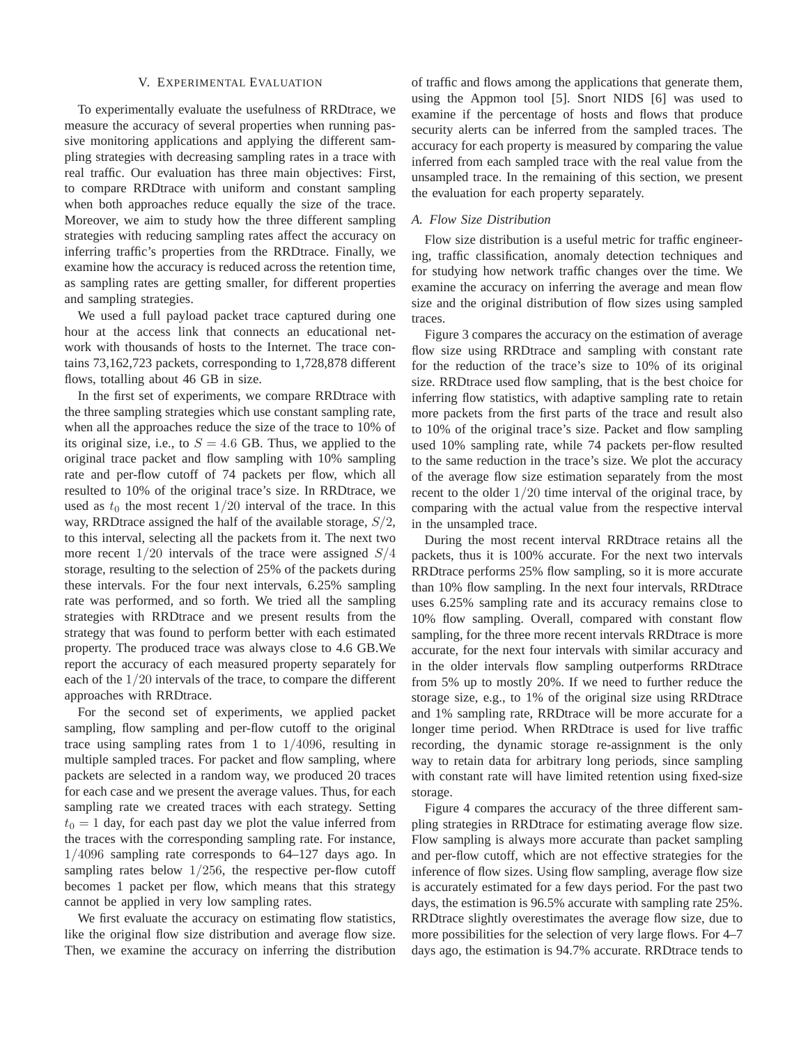#### V. EXPERIMENTAL EVALUATION

To experimentally evaluate the usefulness of RRDtrace, we measure the accuracy of several properties when running passive monitoring applications and applying the different sampling strategies with decreasing sampling rates in a trace with real traffic. Our evaluation has three main objectives: First, to compare RRDtrace with uniform and constant sampling when both approaches reduce equally the size of the trace. Moreover, we aim to study how the three different sampling strategies with reducing sampling rates affect the accuracy on inferring traffic's properties from the RRDtrace. Finally, we examine how the accuracy is reduced across the retention time, as sampling rates are getting smaller, for different properties and sampling strategies.

We used a full payload packet trace captured during one hour at the access link that connects an educational network with thousands of hosts to the Internet. The trace contains 73,162,723 packets, corresponding to 1,728,878 different flows, totalling about 46 GB in size.

In the first set of experiments, we compare RRDtrace with the three sampling strategies which use constant sampling rate, when all the approaches reduce the size of the trace to 10% of its original size, i.e., to  $S = 4.6$  GB. Thus, we applied to the original trace packet and flow sampling with 10% sampling rate and per-flow cutoff of 74 packets per flow, which all resulted to 10% of the original trace's size. In RRDtrace, we used as  $t_0$  the most recent  $1/20$  interval of the trace. In this way, RRDtrace assigned the half of the available storage,  $S/2$ , to this interval, selecting all the packets from it. The next two more recent  $1/20$  intervals of the trace were assigned  $S/4$ storage, resulting to the selection of 25% of the packets during these intervals. For the four next intervals, 6.25% sampling rate was performed, and so forth. We tried all the sampling strategies with RRDtrace and we present results from the strategy that was found to perform better with each estimated property. The produced trace was always close to 4.6 GB.We report the accuracy of each measured property separately for each of the 1/20 intervals of the trace, to compare the different approaches with RRDtrace.

For the second set of experiments, we applied packet sampling, flow sampling and per-flow cutoff to the original trace using sampling rates from 1 to  $1/4096$ , resulting in multiple sampled traces. For packet and flow sampling, where packets are selected in a random way, we produced 20 traces for each case and we present the average values. Thus, for each sampling rate we created traces with each strategy. Setting  $t_0 = 1$  day, for each past day we plot the value inferred from the traces with the corresponding sampling rate. For instance, 1/4096 sampling rate corresponds to 64–127 days ago. In sampling rates below  $1/256$ , the respective per-flow cutoff becomes 1 packet per flow, which means that this strategy cannot be applied in very low sampling rates.

We first evaluate the accuracy on estimating flow statistics, like the original flow size distribution and average flow size. Then, we examine the accuracy on inferring the distribution

of traffic and flows among the applications that generate them, using the Appmon tool [5]. Snort NIDS [6] was used to examine if the percentage of hosts and flows that produce security alerts can be inferred from the sampled traces. The accuracy for each property is measured by comparing the value inferred from each sampled trace with the real value from the unsampled trace. In the remaining of this section, we present the evaluation for each property separately.

# *A. Flow Size Distribution*

Flow size distribution is a useful metric for traffic engineering, traffic classification, anomaly detection techniques and for studying how network traffic changes over the time. We examine the accuracy on inferring the average and mean flow size and the original distribution of flow sizes using sampled traces.

Figure 3 compares the accuracy on the estimation of average flow size using RRDtrace and sampling with constant rate for the reduction of the trace's size to 10% of its original size. RRDtrace used flow sampling, that is the best choice for inferring flow statistics, with adaptive sampling rate to retain more packets from the first parts of the trace and result also to 10% of the original trace's size. Packet and flow sampling used 10% sampling rate, while 74 packets per-flow resulted to the same reduction in the trace's size. We plot the accuracy of the average flow size estimation separately from the most recent to the older 1/20 time interval of the original trace, by comparing with the actual value from the respective interval in the unsampled trace.

During the most recent interval RRDtrace retains all the packets, thus it is 100% accurate. For the next two intervals RRDtrace performs 25% flow sampling, so it is more accurate than 10% flow sampling. In the next four intervals, RRDtrace uses 6.25% sampling rate and its accuracy remains close to 10% flow sampling. Overall, compared with constant flow sampling, for the three more recent intervals RRDtrace is more accurate, for the next four intervals with similar accuracy and in the older intervals flow sampling outperforms RRDtrace from 5% up to mostly 20%. If we need to further reduce the storage size, e.g., to 1% of the original size using RRDtrace and 1% sampling rate, RRDtrace will be more accurate for a longer time period. When RRDtrace is used for live traffic recording, the dynamic storage re-assignment is the only way to retain data for arbitrary long periods, since sampling with constant rate will have limited retention using fixed-size storage.

Figure 4 compares the accuracy of the three different sampling strategies in RRDtrace for estimating average flow size. Flow sampling is always more accurate than packet sampling and per-flow cutoff, which are not effective strategies for the inference of flow sizes. Using flow sampling, average flow size is accurately estimated for a few days period. For the past two days, the estimation is 96.5% accurate with sampling rate 25%. RRDtrace slightly overestimates the average flow size, due to more possibilities for the selection of very large flows. For 4–7 days ago, the estimation is 94.7% accurate. RRDtrace tends to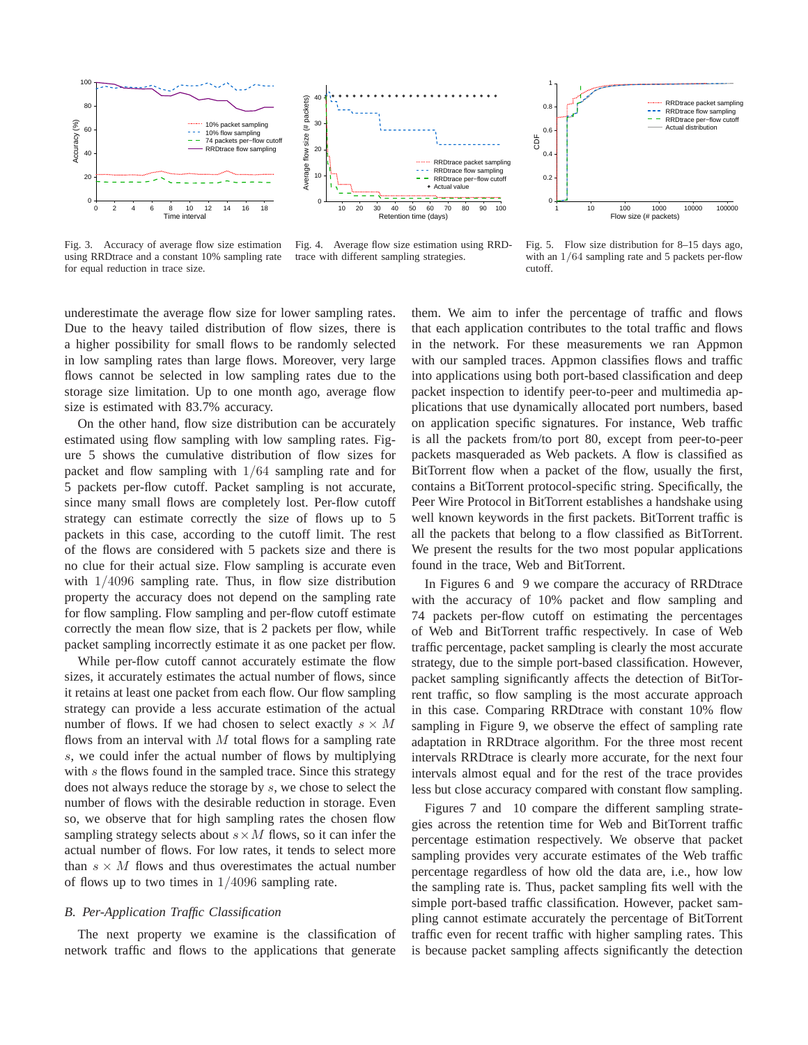

Fig. 3. Accuracy of average flow size estimation using RRDtrace and a constant 10% sampling rate for equal reduction in trace size.

Fig. 4. Average flow size estimation using RRDtrace with different sampling strategies.

Fig. 5. Flow size distribution for 8–15 days ago, with an  $1/64$  sampling rate and 5 packets per-flow cutoff.

underestimate the average flow size for lower sampling rates. Due to the heavy tailed distribution of flow sizes, there is a higher possibility for small flows to be randomly selected in low sampling rates than large flows. Moreover, very large flows cannot be selected in low sampling rates due to the storage size limitation. Up to one month ago, average flow size is estimated with 83.7% accuracy.

On the other hand, flow size distribution can be accurately estimated using flow sampling with low sampling rates. Figure 5 shows the cumulative distribution of flow sizes for packet and flow sampling with 1/64 sampling rate and for 5 packets per-flow cutoff. Packet sampling is not accurate, since many small flows are completely lost. Per-flow cutoff strategy can estimate correctly the size of flows up to 5 packets in this case, according to the cutoff limit. The rest of the flows are considered with 5 packets size and there is no clue for their actual size. Flow sampling is accurate even with 1/4096 sampling rate. Thus, in flow size distribution property the accuracy does not depend on the sampling rate for flow sampling. Flow sampling and per-flow cutoff estimate correctly the mean flow size, that is 2 packets per flow, while packet sampling incorrectly estimate it as one packet per flow.

While per-flow cutoff cannot accurately estimate the flow sizes, it accurately estimates the actual number of flows, since it retains at least one packet from each flow. Our flow sampling strategy can provide a less accurate estimation of the actual number of flows. If we had chosen to select exactly  $s \times M$ flows from an interval with  $M$  total flows for a sampling rate s, we could infer the actual number of flows by multiplying with s the flows found in the sampled trace. Since this strategy does not always reduce the storage by s, we chose to select the number of flows with the desirable reduction in storage. Even so, we observe that for high sampling rates the chosen flow sampling strategy selects about  $s \times M$  flows, so it can infer the actual number of flows. For low rates, it tends to select more than  $s \times M$  flows and thus overestimates the actual number of flows up to two times in  $1/4096$  sampling rate.

# *B. Per-Application Traffic Classification*

The next property we examine is the classification of network traffic and flows to the applications that generate them. We aim to infer the percentage of traffic and flows that each application contributes to the total traffic and flows in the network. For these measurements we ran Appmon with our sampled traces. Appmon classifies flows and traffic into applications using both port-based classification and deep packet inspection to identify peer-to-peer and multimedia applications that use dynamically allocated port numbers, based on application specific signatures. For instance, Web traffic is all the packets from/to port 80, except from peer-to-peer packets masqueraded as Web packets. A flow is classified as BitTorrent flow when a packet of the flow, usually the first, contains a BitTorrent protocol-specific string. Specifically, the Peer Wire Protocol in BitTorrent establishes a handshake using well known keywords in the first packets. BitTorrent traffic is all the packets that belong to a flow classified as BitTorrent. We present the results for the two most popular applications found in the trace, Web and BitTorrent.

In Figures 6 and 9 we compare the accuracy of RRDtrace with the accuracy of 10% packet and flow sampling and 74 packets per-flow cutoff on estimating the percentages of Web and BitTorrent traffic respectively. In case of Web traffic percentage, packet sampling is clearly the most accurate strategy, due to the simple port-based classification. However, packet sampling significantly affects the detection of BitTorrent traffic, so flow sampling is the most accurate approach in this case. Comparing RRDtrace with constant 10% flow sampling in Figure 9, we observe the effect of sampling rate adaptation in RRDtrace algorithm. For the three most recent intervals RRDtrace is clearly more accurate, for the next four intervals almost equal and for the rest of the trace provides less but close accuracy compared with constant flow sampling.

Figures 7 and 10 compare the different sampling strategies across the retention time for Web and BitTorrent traffic percentage estimation respectively. We observe that packet sampling provides very accurate estimates of the Web traffic percentage regardless of how old the data are, i.e., how low the sampling rate is. Thus, packet sampling fits well with the simple port-based traffic classification. However, packet sampling cannot estimate accurately the percentage of BitTorrent traffic even for recent traffic with higher sampling rates. This is because packet sampling affects significantly the detection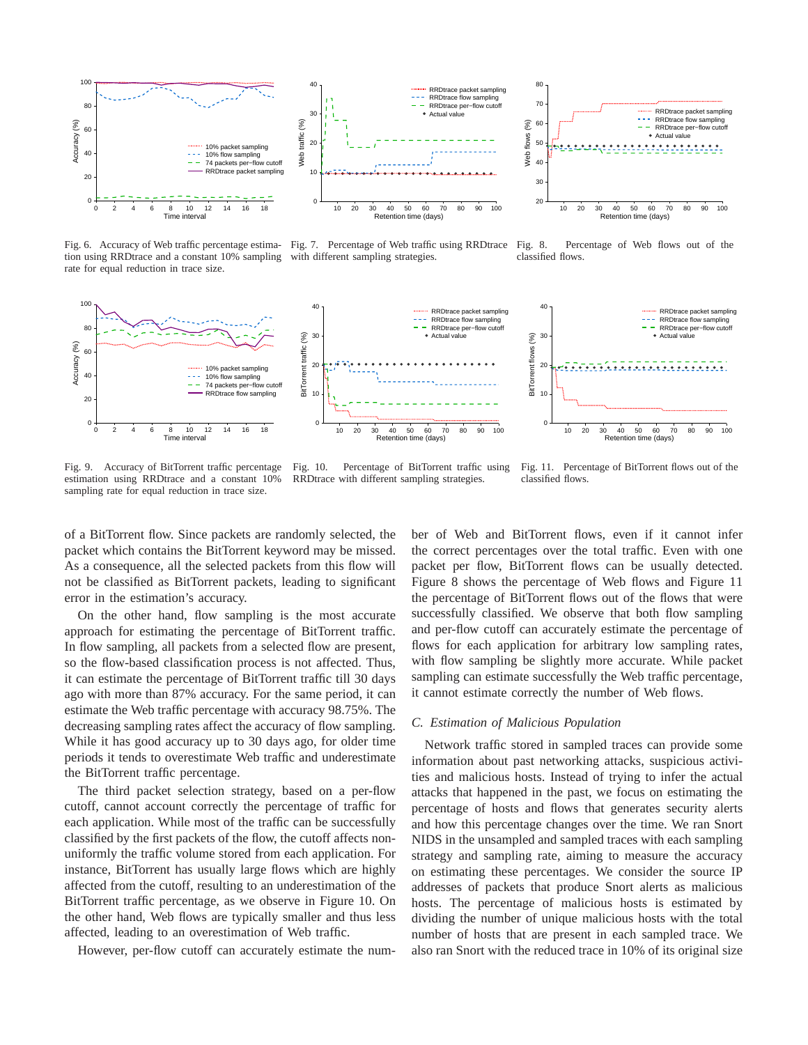

Fig. 6. Accuracy of Web traffic percentage estimation using RRDtrace and a constant 10% sampling rate for equal reduction in trace size.

Fig. 7. Percentage of Web traffic using RRDtrace with different sampling strategies.

Fig. 8. Percentage of Web flows out of the classified flows.



Fig. 9. Accuracy of BitTorrent traffic percentage estimation using RRDtrace and a constant 10% sampling rate for equal reduction in trace size.

Fig. 10. Percentage of BitTorrent traffic using RRDtrace with different sampling strategies.

Fig. 11. Percentage of BitTorrent flows out of the classified flows.

of a BitTorrent flow. Since packets are randomly selected, the packet which contains the BitTorrent keyword may be missed. As a consequence, all the selected packets from this flow will not be classified as BitTorrent packets, leading to significant error in the estimation's accuracy.

On the other hand, flow sampling is the most accurate approach for estimating the percentage of BitTorrent traffic. In flow sampling, all packets from a selected flow are present, so the flow-based classification process is not affected. Thus, it can estimate the percentage of BitTorrent traffic till 30 days ago with more than 87% accuracy. For the same period, it can estimate the Web traffic percentage with accuracy 98.75%. The decreasing sampling rates affect the accuracy of flow sampling. While it has good accuracy up to 30 days ago, for older time periods it tends to overestimate Web traffic and underestimate the BitTorrent traffic percentage.

The third packet selection strategy, based on a per-flow cutoff, cannot account correctly the percentage of traffic for each application. While most of the traffic can be successfully classified by the first packets of the flow, the cutoff affects nonuniformly the traffic volume stored from each application. For instance, BitTorrent has usually large flows which are highly affected from the cutoff, resulting to an underestimation of the BitTorrent traffic percentage, as we observe in Figure 10. On the other hand, Web flows are typically smaller and thus less affected, leading to an overestimation of Web traffic.

However, per-flow cutoff can accurately estimate the num-

ber of Web and BitTorrent flows, even if it cannot infer the correct percentages over the total traffic. Even with one packet per flow, BitTorrent flows can be usually detected. Figure 8 shows the percentage of Web flows and Figure 11 the percentage of BitTorrent flows out of the flows that were successfully classified. We observe that both flow sampling and per-flow cutoff can accurately estimate the percentage of flows for each application for arbitrary low sampling rates, with flow sampling be slightly more accurate. While packet sampling can estimate successfully the Web traffic percentage, it cannot estimate correctly the number of Web flows.

### *C. Estimation of Malicious Population*

Network traffic stored in sampled traces can provide some information about past networking attacks, suspicious activities and malicious hosts. Instead of trying to infer the actual attacks that happened in the past, we focus on estimating the percentage of hosts and flows that generates security alerts and how this percentage changes over the time. We ran Snort NIDS in the unsampled and sampled traces with each sampling strategy and sampling rate, aiming to measure the accuracy on estimating these percentages. We consider the source IP addresses of packets that produce Snort alerts as malicious hosts. The percentage of malicious hosts is estimated by dividing the number of unique malicious hosts with the total number of hosts that are present in each sampled trace. We also ran Snort with the reduced trace in 10% of its original size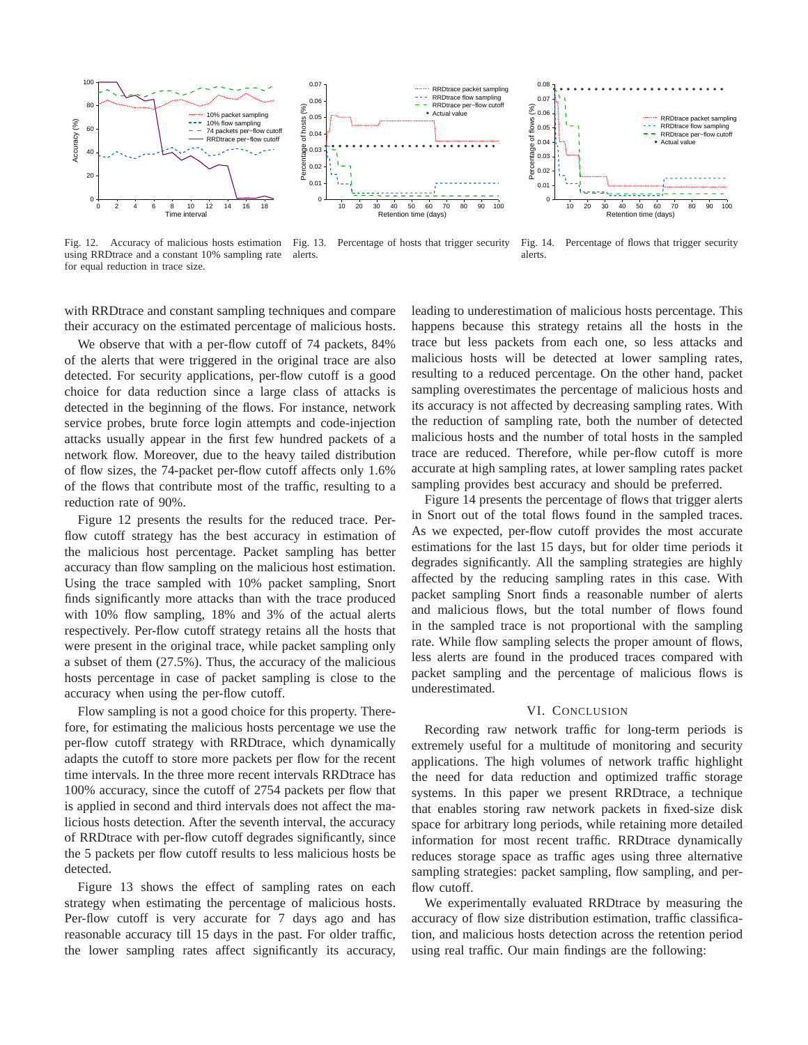

Fig. 12. Accuracy of malicious hosts estimation using RRDtrace and a constant 10% sampling rate for equal reduction in trace size.



 $\sim$   $\sim$   $\sim$ 

0.05 0.06 0.07

 $(%)$ **nosts** 

Fig. 14. Percentage of flows that trigger security alerts.

RRDtrace packet sampling RRDtrace flow sampling

with RRDtrace and constant sampling techniques and compare their accuracy on the estimated percentage of malicious hosts.

We observe that with a per-flow cutoff of 74 packets, 84% of the alerts that were triggered in the original trace are also detected. For security applications, per-flow cutoff is a good choice for data reduction since a large class of attacks is detected in the beginning of the flows. For instance, network service probes, brute force login attempts and code-injection attacks usually appear in the first few hundred packets of a network flow. Moreover, due to the heavy tailed distribution of flow sizes, the 74-packet per-flow cutoff affects only 1.6% of the flows that contribute most of the traffic, resulting to a reduction rate of 90%.

Figure 12 presents the results for the reduced trace. Perflow cutoff strategy has the best accuracy in estimation of the malicious host percentage. Packet sampling has better accuracy than flow sampling on the malicious host estimation. Using the trace sampled with 10% packet sampling, Snort finds significantly more attacks than with the trace produced with 10% flow sampling, 18% and 3% of the actual alerts respectively. Per-flow cutoff strategy retains all the hosts that were present in the original trace, while packet sampling only a subset of them (27.5%). Thus, the accuracy of the malicious hosts percentage in case of packet sampling is close to the accuracy when using the per-flow cutoff.

Flow sampling is not a good choice for this property. Therefore, for estimating the malicious hosts percentage we use the per-flow cutoff strategy with RRDtrace, which dynamically adapts the cutoff to store more packets per flow for the recent time intervals. In the three more recent intervals RRDtrace has 100% accuracy, since the cutoff of 2754 packets per flow that is applied in second and third intervals does not affect the malicious hosts detection. After the seventh interval, the accuracy of RRDtrace with per-flow cutoff degrades significantly, since the 5 packets per flow cutoff results to less malicious hosts be detected.

Figure 13 shows the effect of sampling rates on each strategy when estimating the percentage of malicious hosts. Per-flow cutoff is very accurate for 7 days ago and has reasonable accuracy till 15 days in the past. For older traffic, the lower sampling rates affect significantly its accuracy,

leading to underestimation of malicious hosts percentage. This happens because this strategy retains all the hosts in the trace but less packets from each one, so less attacks and malicious hosts will be detected at lower sampling rates, resulting to a reduced percentage. On the other hand, packet sampling overestimates the percentage of malicious hosts and its accuracy is not affected by decreasing sampling rates. With the reduction of sampling rate, both the number of detected malicious hosts and the number of total hosts in the sampled trace are reduced. Therefore, while per-flow cutoff is more accurate at high sampling rates, at lower sampling rates packet sampling provides best accuracy and should be preferred.

Figure 14 presents the percentage of flows that trigger alerts in Snort out of the total flows found in the sampled traces. As we expected, per-flow cutoff provides the most accurate estimations for the last 15 days, but for older time periods it degrades significantly. All the sampling strategies are highly affected by the reducing sampling rates in this case. With packet sampling Snort finds a reasonable number of alerts and malicious flows, but the total number of flows found in the sampled trace is not proportional with the sampling rate. While flow sampling selects the proper amount of flows, less alerts are found in the produced traces compared with packet sampling and the percentage of malicious flows is underestimated.

# VI. CONCLUSION

Recording raw network traffic for long-term periods is extremely useful for a multitude of monitoring and security applications. The high volumes of network traffic highlight the need for data reduction and optimized traffic storage systems. In this paper we present RRDtrace, a technique that enables storing raw network packets in fixed-size disk space for arbitrary long periods, while retaining more detailed information for most recent traffic. RRDtrace dynamically reduces storage space as traffic ages using three alternative sampling strategies: packet sampling, flow sampling, and perflow cutoff.

We experimentally evaluated RRDtrace by measuring the accuracy of flow size distribution estimation, traffic classification, and malicious hosts detection across the retention period using real traffic. Our main findings are the following:

Percentage of hosts (%) Percentage of flows (%) 0.04 RRDtrace per−flow cutoff 둖 Actual value 0.04  $0.03$ 0.03 ই 0.02 Per 0.02 0.01 0.01  $\overline{0}$ 10 20 30 40 50 60 70 80 90 100 10 20 30 40 50 60 70 80 90 100 Retention time (days) Retention time (days)

 $\sum_{\alpha=0}^{\infty}$  $\widehat{\mathcal{E}}_{0.06}$ 0.07 0.08

RRDtrace packet sampling RRDtrace flow sampling RRDtrace per−flow cutoff Actual value